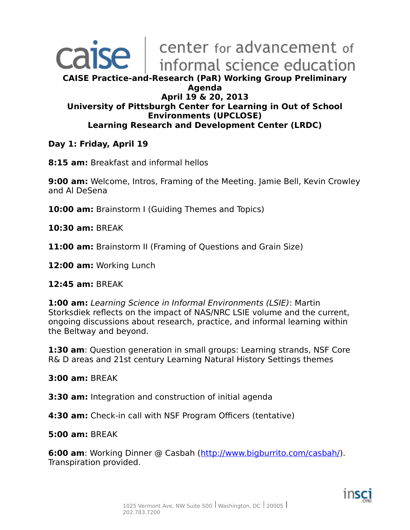## center for advancement of ise informal science education **CAISE Practice-and-Research (PaR) Working Group Preliminary Agenda April 19 & 20, 2013 University of Pittsburgh Center for Learning in Out of School Environments (UPCLOSE) Learning Research and Development Center (LRDC)**

### **Day 1: Friday, April 19**

**8:15 am:** Breakfast and informal hellos

**9:00 am:** Welcome, Intros, Framing of the Meeting. Jamie Bell, Kevin Crowley and Al DeSena

**10:00 am:** Brainstorm I (Guiding Themes and Topics)

**10:30 am:** BREAK

**11:00 am:** Brainstorm II (Framing of Questions and Grain Size)

**12:00 am:** Working Lunch

#### **12:45 am:** BREAK

**1:00 am:** Learning Science in Informal Environments (LSIE): Martin Storksdiek reflects on the impact of NAS/NRC LSIE volume and the current, ongoing discussions about research, practice, and informal learning within the Beltway and beyond.

**1:30 am**: Question generation in small groups: Learning strands, NSF Core R& D areas and 21st century Learning Natural History Settings themes

#### **3:00 am:** BREAK

**3:30 am:** Integration and construction of initial agenda

**4:30 am:** Check-in call with NSF Program Officers (tentative)

#### **5:00 am:** BREAK

**6:00 am**: Working Dinner @ Casbah [\(http://www.bigburrito.com/casbah/\)](http://www.bigburrito.com/casbah/). Transpiration provided.